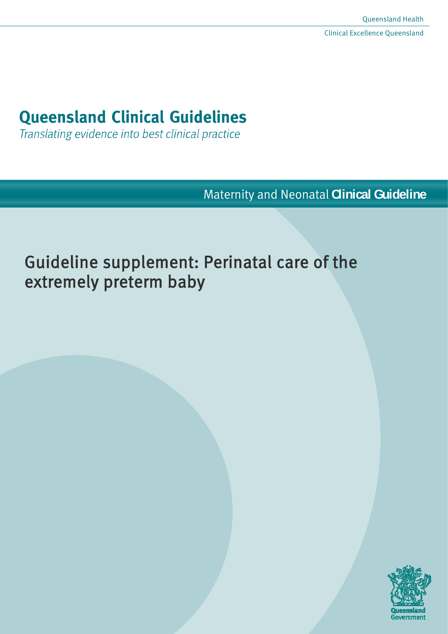# **Queensland Clinical Guidelines**

Translating evidence into best clinical practice

Maternity and Neonatal **Clinical Guideline**

# Guideline supplement: Perinatal care of the extremely preterm baby

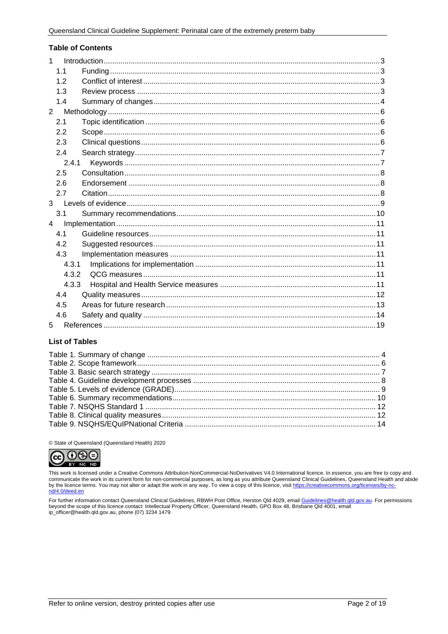#### **Table of Contents**

| $\mathbf{1}$   |       |  |
|----------------|-------|--|
|                | 1.1   |  |
|                | 12    |  |
|                | 1.3   |  |
|                | 1.4   |  |
| $2^{\circ}$    |       |  |
|                | 2.1   |  |
|                | 2.2   |  |
|                | 2.3   |  |
|                | 2.4   |  |
|                | 2.4.1 |  |
|                | 2.5   |  |
|                | 2.6   |  |
|                | 2.7   |  |
|                |       |  |
|                | 3.1   |  |
| $\overline{4}$ |       |  |
|                | 4.1   |  |
|                | 4.2   |  |
|                | 4.3   |  |
|                | 4.3.1 |  |
|                | 4.3.2 |  |
|                | 4.3.3 |  |
|                | 4.4   |  |
|                | 4.5   |  |
|                | 4.6   |  |
| 5              |       |  |

#### **List of Tables**

© State of Queensland (Queensland Health) 2020



This work is licensed under a Creative Commons Attribution-NonCommercial-NoDerivatives V4.0 International licence. In essence, you are free to copy and communicate the work in its current form for non-commercial purposes, as long as you attribute Queensland Clinical Guidelines, Queensland Health and abide by the licence terms. You may not alter or adapt the work in any way. To view a copy of this licence, visit https://creativecommons.org/licenses/by-no nd/4.0/deed.en

For further information contact Queensland Clinical Guidelines, RBWH Post Office, Herston Qld 4029, email Guidelines@health.qld.gov.au. For permissions beyond the scope of this licence contact: Intellectual Property Officer, Queensland Health, GPO Box 48, Brisbane Qld 4001, email ip\_officer@health.qld.gov.au, phone (07) 3234 1479.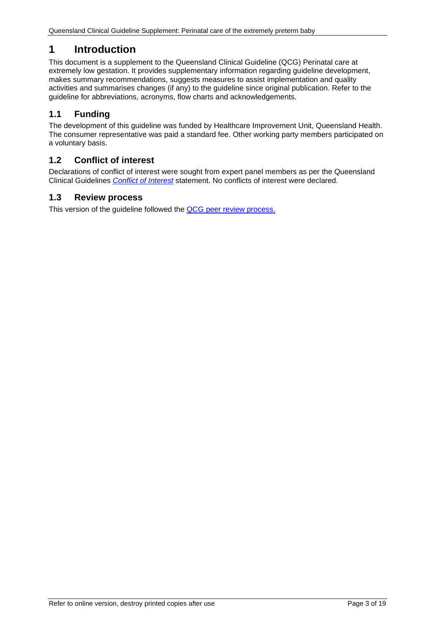# <span id="page-2-0"></span>**1 Introduction**

This document is a supplement to the Queensland Clinical Guideline (QCG) Perinatal care at extremely low gestation. It provides supplementary information regarding guideline development, makes summary recommendations, suggests measures to assist implementation and quality activities and summarises changes (if any) to the guideline since original publication. Refer to the guideline for abbreviations, acronyms, flow charts and acknowledgements.

## <span id="page-2-1"></span>**1.1 Funding**

The development of this guideline was funded by Healthcare Improvement Unit, Queensland Health. The consumer representative was paid a standard fee. Other working party members participated on a voluntary basis.

## <span id="page-2-2"></span>**1.2 Conflict of interest**

Declarations of conflict of interest were sought from expert panel members as per the Queensland Clinical Guidelines *[Conflict of Interest](http://www.health.qld.gov.au/qcg/development#coi)* statement. No conflicts of interest were declared.

## <span id="page-2-3"></span>**1.3 Review process**

This version of the guideline followed the [QCG peer review process.](https://www.health.qld.gov.au/__data/assets/pdf_file/0025/364723/o-developprocess.pdf)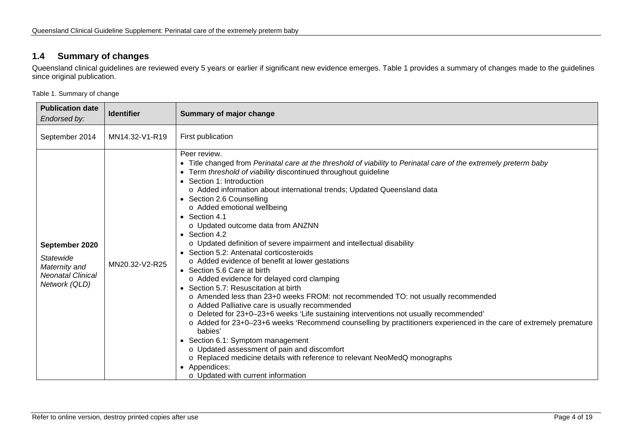## **1.4 Summary of changes**

Queensland clinical guidelines are reviewed every 5 years or earlier if significant new evidence emerges. [Table 1](#page-3-2) provides a summary of changes made to the guidelines since original publication.

<span id="page-3-2"></span>Table 1. Summary of change

<span id="page-3-1"></span><span id="page-3-0"></span>

| <b>Publication date</b><br>Endorsed by:                                                          | <b>Identifier</b> | Summary of major change                                                                                                                                                                                                                                                                                                                                                                                                                                                                                                                                                                                                                                                                                                                                                                                                                                                                                                                                                                                                                                                                                                                                                                                                                                                                                                                        |
|--------------------------------------------------------------------------------------------------|-------------------|------------------------------------------------------------------------------------------------------------------------------------------------------------------------------------------------------------------------------------------------------------------------------------------------------------------------------------------------------------------------------------------------------------------------------------------------------------------------------------------------------------------------------------------------------------------------------------------------------------------------------------------------------------------------------------------------------------------------------------------------------------------------------------------------------------------------------------------------------------------------------------------------------------------------------------------------------------------------------------------------------------------------------------------------------------------------------------------------------------------------------------------------------------------------------------------------------------------------------------------------------------------------------------------------------------------------------------------------|
| September 2014                                                                                   | MN14.32-V1-R19    | First publication                                                                                                                                                                                                                                                                                                                                                                                                                                                                                                                                                                                                                                                                                                                                                                                                                                                                                                                                                                                                                                                                                                                                                                                                                                                                                                                              |
| September 2020<br><b>Statewide</b><br>Maternity and<br><b>Neonatal Clinical</b><br>Network (QLD) | MN20.32-V2-R25    | Peer review.<br>• Title changed from Perinatal care at the threshold of viability to Perinatal care of the extremely preterm baby<br>Term threshold of viability discontinued throughout guideline<br>$\bullet$<br>• Section 1: Introduction<br>o Added information about international trends; Updated Queensland data<br>• Section 2.6 Counselling<br>o Added emotional wellbeing<br>• Section 4.1<br>o Updated outcome data from ANZNN<br>• Section 4.2<br>o Updated definition of severe impairment and intellectual disability<br>• Section 5.2: Antenatal corticosteroids<br>o Added evidence of benefit at lower gestations<br>• Section 5.6 Care at birth<br>o Added evidence for delayed cord clamping<br>• Section 5.7: Resuscitation at birth<br>o Amended less than 23+0 weeks FROM: not recommended TO: not usually recommended<br>o Added Palliative care is usually recommended<br>o Deleted for 23+0-23+6 weeks 'Life sustaining interventions not usually recommended'<br>o Added for 23+0-23+6 weeks 'Recommend counselling by practitioners experienced in the care of extremely premature<br>babies'<br>• Section 6.1: Symptom management<br>o Updated assessment of pain and discomfort<br>o Replaced medicine details with reference to relevant NeoMedQ monographs<br>Appendices:<br>o Updated with current information |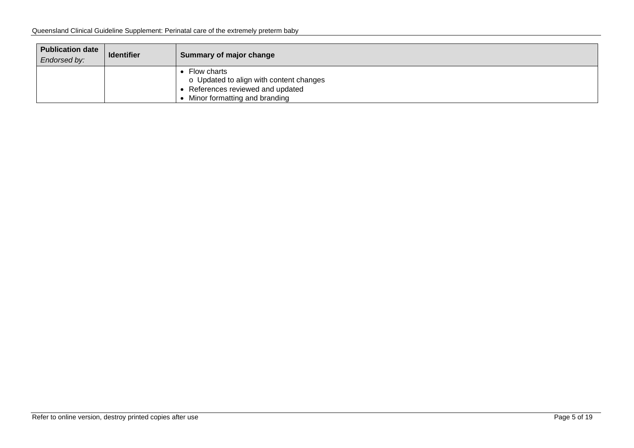| <b>Publication date</b><br>Endorsed by: | <b>Identifier</b> | Summary of major change                                                                                                    |
|-----------------------------------------|-------------------|----------------------------------------------------------------------------------------------------------------------------|
|                                         |                   | Flow charts<br>o Updated to align with content changes<br>References reviewed and updated<br>Minor formatting and branding |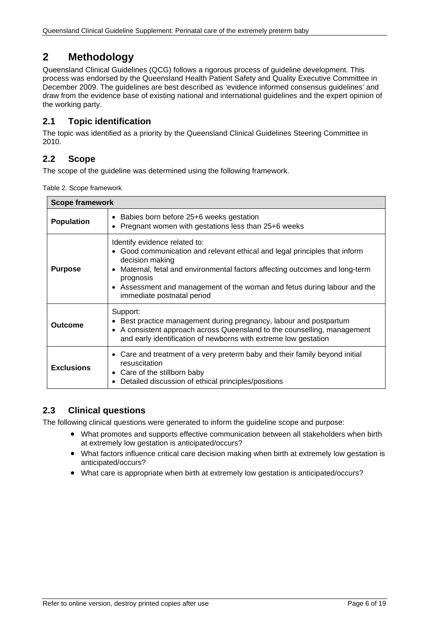# <span id="page-5-0"></span>**2 Methodology**

Queensland Clinical Guidelines (QCG) follows a rigorous process of guideline development. This process was endorsed by the Queensland Health Patient Safety and Quality Executive Committee in December 2009. The guidelines are best described as 'evidence informed consensus guidelines' and draw from the evidence base of existing national and international guidelines and the expert opinion of the working party.

## <span id="page-5-1"></span>**2.1 Topic identification**

The topic was identified as a priority by the Queensland Clinical Guidelines Steering Committee in 2010.

## <span id="page-5-2"></span>**2.2 Scope**

<span id="page-5-4"></span>The scope of the guideline was determined using the following framework.

Table 2. Scope framework

| <b>Scope framework</b>                                                                                                  |                                                                                                                                                                                                                                                                                                                                   |  |  |
|-------------------------------------------------------------------------------------------------------------------------|-----------------------------------------------------------------------------------------------------------------------------------------------------------------------------------------------------------------------------------------------------------------------------------------------------------------------------------|--|--|
| • Babies born before 25+6 weeks gestation<br><b>Population</b><br>• Pregnant women with gestations less than 25+6 weeks |                                                                                                                                                                                                                                                                                                                                   |  |  |
| <b>Purpose</b>                                                                                                          | Identify evidence related to:<br>• Good communication and relevant ethical and legal principles that inform<br>decision making<br>Maternal, fetal and environmental factors affecting outcomes and long-term<br>prognosis<br>Assessment and management of the woman and fetus during labour and the<br>immediate postnatal period |  |  |
| Outcome                                                                                                                 | Support:<br>Best practice management during pregnancy, labour and postpartum<br>• A consistent approach across Queensland to the counselling, management<br>and early identification of newborns with extreme low gestation                                                                                                       |  |  |
| <b>Exclusions</b>                                                                                                       | • Care and treatment of a very preterm baby and their family beyond initial<br>resuscitation<br>• Care of the stillborn baby<br>Detailed discussion of ethical principles/positions                                                                                                                                               |  |  |

## <span id="page-5-3"></span>**2.3 Clinical questions**

The following clinical questions were generated to inform the guideline scope and purpose:

- What promotes and supports effective communication between all stakeholders when birth at extremely low gestation is anticipated/occurs?
- What factors influence critical care decision making when birth at extremely low gestation is anticipated/occurs?
- What care is appropriate when birth at extremely low gestation is anticipated/occurs?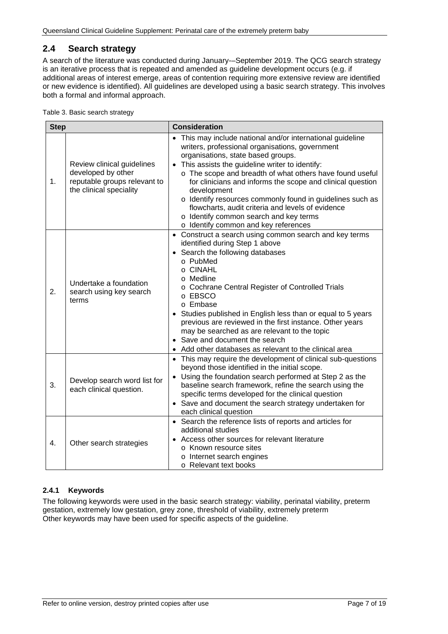## <span id="page-6-0"></span>**2.4 Search strategy**

A search of the literature was conducted during January-–September 2019. The QCG search strategy is an iterative process that is repeated and amended as guideline development occurs (e.g. if additional areas of interest emerge, areas of contention requiring more extensive review are identified or new evidence is identified). All guidelines are developed using a basic search strategy. This involves both a formal and informal approach.

<span id="page-6-2"></span>Table 3. Basic search strategy

| <b>Step</b>      |                                                                                                             | <b>Consideration</b>                                                                                                                                                                                                                                                                                                                                                                                                                                                                                                                                            |  |
|------------------|-------------------------------------------------------------------------------------------------------------|-----------------------------------------------------------------------------------------------------------------------------------------------------------------------------------------------------------------------------------------------------------------------------------------------------------------------------------------------------------------------------------------------------------------------------------------------------------------------------------------------------------------------------------------------------------------|--|
| 1.               | Review clinical guidelines<br>developed by other<br>reputable groups relevant to<br>the clinical speciality | • This may include national and/or international guideline<br>writers, professional organisations, government<br>organisations, state based groups.<br>This assists the guideline writer to identify:<br>$\bullet$<br>o The scope and breadth of what others have found useful<br>for clinicians and informs the scope and clinical question<br>development<br>o Identify resources commonly found in guidelines such as<br>flowcharts, audit criteria and levels of evidence<br>o Identify common search and key terms<br>o Identify common and key references |  |
| 2.               | Undertake a foundation<br>search using key search<br>terms                                                  | • Construct a search using common search and key terms<br>identified during Step 1 above<br>• Search the following databases<br>o PubMed<br>o CINAHL<br>o Medline<br>o Cochrane Central Register of Controlled Trials<br>o EBSCO<br>o Embase<br>Studies published in English less than or equal to 5 years<br>previous are reviewed in the first instance. Other years<br>may be searched as are relevant to the topic<br>• Save and document the search<br>Add other databases as relevant to the clinical area                                                |  |
| 3.               | Develop search word list for<br>each clinical question.                                                     | • This may require the development of clinical sub-questions<br>beyond those identified in the initial scope.<br>Using the foundation search performed at Step 2 as the<br>$\bullet$<br>baseline search framework, refine the search using the<br>specific terms developed for the clinical question<br>• Save and document the search strategy undertaken for<br>each clinical question                                                                                                                                                                        |  |
| $\overline{4}$ . | Other search strategies                                                                                     | • Search the reference lists of reports and articles for<br>additional studies<br>Access other sources for relevant literature<br>o Known resource sites<br>o Internet search engines<br>o Relevant text books                                                                                                                                                                                                                                                                                                                                                  |  |

#### <span id="page-6-1"></span>**2.4.1 Keywords**

The following keywords were used in the basic search strategy: viability, perinatal viability, preterm gestation, extremely low gestation, grey zone, threshold of viability, extremely preterm Other keywords may have been used for specific aspects of the guideline.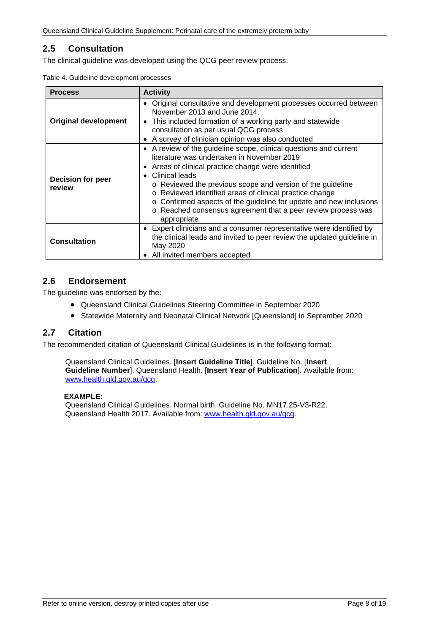## <span id="page-7-0"></span>**2.5 Consultation**

<span id="page-7-3"></span>The clinical guideline was developed using the QCG peer review process.

|  |  | Table 4. Guideline development processes |  |
|--|--|------------------------------------------|--|
|--|--|------------------------------------------|--|

| <b>Process</b>              | <b>Activity</b>                                                                                                                                                                                                                                                                                                                                                                                                                                                        |  |
|-----------------------------|------------------------------------------------------------------------------------------------------------------------------------------------------------------------------------------------------------------------------------------------------------------------------------------------------------------------------------------------------------------------------------------------------------------------------------------------------------------------|--|
| <b>Original development</b> | • Original consultative and development processes occurred between<br>November 2013 and June 2014.<br>• This included formation of a working party and statewide<br>consultation as per usual QCG process<br>• A survey of clinician opinion was also conducted                                                                                                                                                                                                        |  |
| Decision for peer<br>review | • A review of the guideline scope, clinical questions and current<br>literature was undertaken in November 2019<br>• Areas of clinical practice change were identified<br>Clinical leads<br>o Reviewed the previous scope and version of the guideline<br>o Reviewed identified areas of clinical practice change<br>o Confirmed aspects of the guideline for update and new inclusions<br>o Reached consensus agreement that a peer review process was<br>appropriate |  |
| <b>Consultation</b>         | • Expert clinicians and a consumer representative were identified by<br>the clinical leads and invited to peer review the updated guideline in<br>May 2020<br>• All invited members accepted                                                                                                                                                                                                                                                                           |  |

#### <span id="page-7-1"></span>**2.6 Endorsement**

The guideline was endorsed by the:

- Queensland Clinical Guidelines Steering Committee in September 2020
- Statewide Maternity and Neonatal Clinical Network [Queensland] in September 2020

## <span id="page-7-2"></span>**2.7 Citation**

The recommended citation of Queensland Clinical Guidelines is in the following format:

Queensland Clinical Guidelines. [**Insert Guideline Title**]. Guideline No. [**Insert Guideline Number**]. Queensland Health. [**Insert Year of Publication**]. Available from: [www.health.qld.gov.au/qcg.](http://www.health.qld.gov.au/qcg)

#### **EXAMPLE:**

Queensland Clinical Guidelines. Normal birth. Guideline No. MN17.25-V3-R22. Queensland Health 2017. Available from: [www.health.qld.gov.au/qcg.](http://www.health.qld.gov.au/qcg)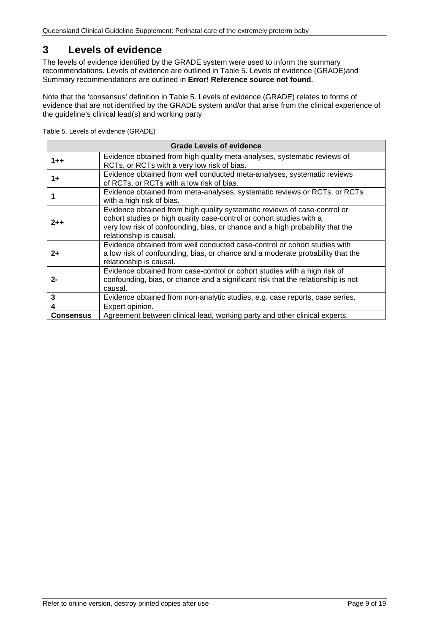## <span id="page-8-0"></span>**3 Levels of evidence**

The levels of evidence identified by the GRADE system were used to inform the summary recommendations. Levels of evidence are outlined in [Table 5. Levels of evidence \(GRADE\)a](#page-8-1)nd Summary recommendations are outlined in **Error! Reference source not found.**

Note that the 'consensus' definition in [Table 5. Levels of evidence \(GRADE\)](#page-8-1) relates to forms of evidence that are not identified by the GRADE system and/or that arise from the clinical experience of the guideline's clinical lead(s) and working party

| <b>Grade Levels of evidence</b>                                                                                              |                                                                                                                                                                                                                                                               |  |  |
|------------------------------------------------------------------------------------------------------------------------------|---------------------------------------------------------------------------------------------------------------------------------------------------------------------------------------------------------------------------------------------------------------|--|--|
| $1 + +$                                                                                                                      | Evidence obtained from high quality meta-analyses, systematic reviews of<br>RCTs, or RCTs with a very low risk of bias.                                                                                                                                       |  |  |
| Evidence obtained from well conducted meta-analyses, systematic reviews<br>$1+$<br>of RCTs, or RCTs with a low risk of bias. |                                                                                                                                                                                                                                                               |  |  |
| Evidence obtained from meta-analyses, systematic reviews or RCTs, or RCTs<br>with a high risk of bias.                       |                                                                                                                                                                                                                                                               |  |  |
| $2 + +$                                                                                                                      | Evidence obtained from high quality systematic reviews of case-control or<br>cohort studies or high quality case-control or cohort studies with a<br>very low risk of confounding, bias, or chance and a high probability that the<br>relationship is causal. |  |  |
| 2+                                                                                                                           | Evidence obtained from well conducted case-control or cohort studies with<br>a low risk of confounding, bias, or chance and a moderate probability that the<br>relationship is causal.                                                                        |  |  |
| 2-                                                                                                                           | Evidence obtained from case-control or cohort studies with a high risk of<br>confounding, bias, or chance and a significant risk that the relationship is not<br>causal.                                                                                      |  |  |
| 3                                                                                                                            | Evidence obtained from non-analytic studies, e.g. case reports, case series.                                                                                                                                                                                  |  |  |
| 4                                                                                                                            | Expert opinion.                                                                                                                                                                                                                                               |  |  |
| <b>Consensus</b>                                                                                                             | Agreement between clinical lead, working party and other clinical experts.                                                                                                                                                                                    |  |  |

<span id="page-8-1"></span>Table 5. Levels of evidence (GRADE)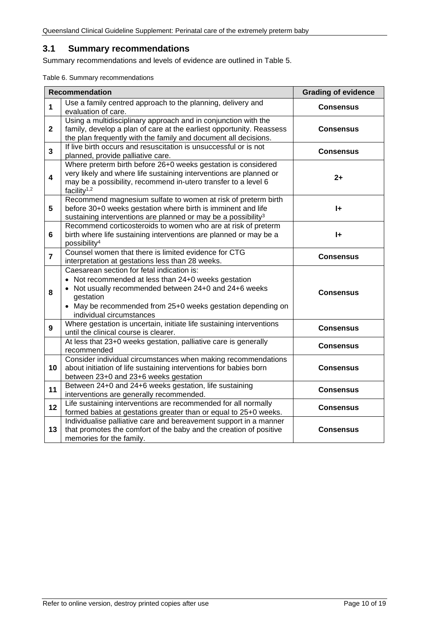### <span id="page-9-0"></span>**3.1 Summary recommendations**

<span id="page-9-1"></span>Summary recommendations and levels of evidence are outlined in Table 5.

Table 6. Summary recommendations

|                         | <b>Recommendation</b>                                                                                                                                                                                                                                              | <b>Grading of evidence</b> |
|-------------------------|--------------------------------------------------------------------------------------------------------------------------------------------------------------------------------------------------------------------------------------------------------------------|----------------------------|
| $\mathbf{1}$            | Use a family centred approach to the planning, delivery and<br>evaluation of care.                                                                                                                                                                                 | <b>Consensus</b>           |
| $\mathbf{2}$            | Using a multidisciplinary approach and in conjunction with the<br>family, develop a plan of care at the earliest opportunity. Reassess<br>the plan frequently with the family and document all decisions.                                                          | <b>Consensus</b>           |
| $\mathbf{3}$            | If live birth occurs and resuscitation is unsuccessful or is not<br>planned, provide palliative care.                                                                                                                                                              | <b>Consensus</b>           |
| $\overline{\mathbf{4}}$ | Where preterm birth before 26+0 weeks gestation is considered<br>very likely and where life sustaining interventions are planned or<br>may be a possibility, recommend in-utero transfer to a level 6<br>facility <sup>1,2</sup>                                   | $2+$                       |
| 5                       | Recommend magnesium sulfate to women at risk of preterm birth<br>before 30+0 weeks gestation where birth is imminent and life<br>sustaining interventions are planned or may be a possibility <sup>3</sup>                                                         | I÷                         |
| 6                       | Recommend corticosteroids to women who are at risk of preterm<br>birth where life sustaining interventions are planned or may be a<br>possibility <sup>4</sup>                                                                                                     | $\mathbf{H}$               |
| $\overline{7}$          | Counsel women that there is limited evidence for CTG<br>interpretation at gestations less than 28 weeks.                                                                                                                                                           | <b>Consensus</b>           |
| 8                       | Caesarean section for fetal indication is:<br>• Not recommended at less than 24+0 weeks gestation<br>• Not usually recommended between 24+0 and 24+6 weeks<br>gestation<br>• May be recommended from 25+0 weeks gestation depending on<br>individual circumstances | <b>Consensus</b>           |
| 9                       | Where gestation is uncertain, initiate life sustaining interventions<br>until the clinical course is clearer.                                                                                                                                                      | <b>Consensus</b>           |
|                         | At less that 23+0 weeks gestation, palliative care is generally<br>recommended                                                                                                                                                                                     | <b>Consensus</b>           |
| 10                      | Consider individual circumstances when making recommendations<br>about initiation of life sustaining interventions for babies born<br>between 23+0 and 23+6 weeks gestation                                                                                        | <b>Consensus</b>           |
| 11                      | Between 24+0 and 24+6 weeks gestation, life sustaining<br>interventions are generally recommended.                                                                                                                                                                 | <b>Consensus</b>           |
| 12                      | Life sustaining interventions are recommended for all normally<br>formed babies at gestations greater than or equal to 25+0 weeks.                                                                                                                                 | <b>Consensus</b>           |
| 13                      | Individualise palliative care and bereavement support in a manner<br>that promotes the comfort of the baby and the creation of positive<br>memories for the family.                                                                                                | <b>Consensus</b>           |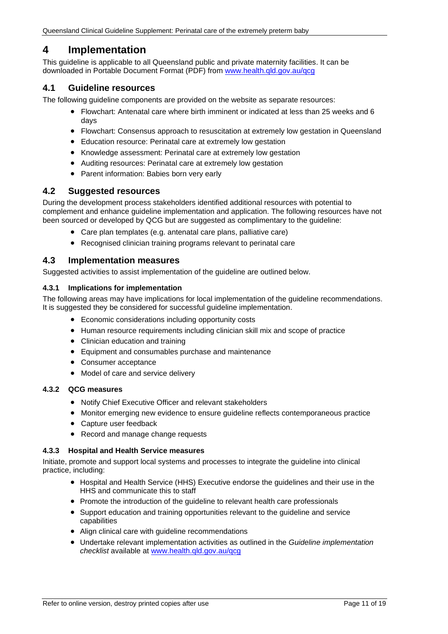## <span id="page-10-0"></span>**4 Implementation**

This guideline is applicable to all Queensland public and private maternity facilities. It can be downloaded in Portable Document Format (PDF) from [www.health.qld.gov.au/qcg](http://www.health.qld.gov.au/qcg)

## <span id="page-10-1"></span>**4.1 Guideline resources**

The following guideline components are provided on the website as separate resources:

- Flowchart: Antenatal care where birth imminent or indicated at less than 25 weeks and 6 days
- Flowchart: Consensus approach to resuscitation at extremely low gestation in Queensland
- Education resource: Perinatal care at extremely low gestation
- Knowledge assessment: Perinatal care at extremely low gestation
- Auditing resources: Perinatal care at extremely low gestation
- Parent information: Babies born very early

#### <span id="page-10-2"></span>**4.2 Suggested resources**

During the development process stakeholders identified additional resources with potential to complement and enhance guideline implementation and application. The following resources have not been sourced or developed by QCG but are suggested as complimentary to the guideline:

- Care plan templates (e.g. antenatal care plans, palliative care)
- Recognised clinician training programs relevant to perinatal care

#### <span id="page-10-3"></span>**4.3 Implementation measures**

Suggested activities to assist implementation of the guideline are outlined below.

#### <span id="page-10-4"></span>**4.3.1 Implications for implementation**

The following areas may have implications for local implementation of the guideline recommendations. It is suggested they be considered for successful guideline implementation.

- Economic considerations including opportunity costs
- Human resource requirements including clinician skill mix and scope of practice
- Clinician education and training
- Equipment and consumables purchase and maintenance
- Consumer acceptance
- Model of care and service delivery

#### <span id="page-10-5"></span>**4.3.2 QCG measures**

- Notify Chief Executive Officer and relevant stakeholders
- Monitor emerging new evidence to ensure guideline reflects contemporaneous practice
- Capture user feedback
- Record and manage change requests

#### <span id="page-10-6"></span>**4.3.3 Hospital and Health Service measures**

Initiate, promote and support local systems and processes to integrate the guideline into clinical practice, including:

- Hospital and Health Service (HHS) Executive endorse the guidelines and their use in the HHS and communicate this to staff
- Promote the introduction of the guideline to relevant health care professionals
- Support education and training opportunities relevant to the guideline and service capabilities
- Align clinical care with guideline recommendations
- Undertake relevant implementation activities as outlined in the *Guideline implementation checklist* available at [www.health.qld.gov.au/qcg](http://www.health.qld.gov.au/qcg)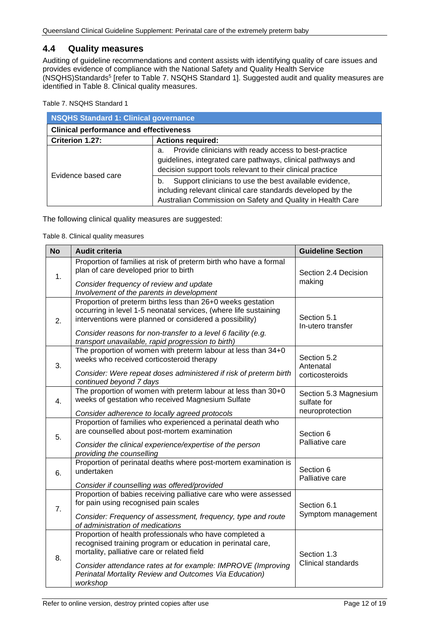### <span id="page-11-0"></span>**4.4 Quality measures**

Auditing of guideline recommendations and content assists with identifying quality of care issues and provides evidence of compliance with the National Safety and Quality Health Service (NSQHS)Standards5 [refer to Table 7. [NSQHS Standard 1\]](#page-11-1). Suggested audit and quality measures are identified in [Table 8. Clinical quality measures.](#page-11-2)

<span id="page-11-1"></span>Table 7. NSQHS Standard 1

| NSQHS Standard 1: Clinical governance         |                                                                                                                                                                                           |  |  |
|-----------------------------------------------|-------------------------------------------------------------------------------------------------------------------------------------------------------------------------------------------|--|--|
| <b>Clinical performance and effectiveness</b> |                                                                                                                                                                                           |  |  |
| Criterion 1.27:<br><b>Actions required:</b>   |                                                                                                                                                                                           |  |  |
| Evidence based care                           | Provide clinicians with ready access to best-practice<br>а.<br>guidelines, integrated care pathways, clinical pathways and<br>decision support tools relevant to their clinical practice  |  |  |
|                                               | Support clinicians to use the best available evidence,<br>b.<br>including relevant clinical care standards developed by the<br>Australian Commission on Safety and Quality in Health Care |  |  |

<span id="page-11-2"></span>The following clinical quality measures are suggested:

Table 8. Clinical quality measures

| <b>No</b>      | <b>Audit criteria</b>                                                                                                                                                                                                                                                                                             | <b>Guideline Section</b>                                |
|----------------|-------------------------------------------------------------------------------------------------------------------------------------------------------------------------------------------------------------------------------------------------------------------------------------------------------------------|---------------------------------------------------------|
| 1.             | Proportion of families at risk of preterm birth who have a formal<br>plan of care developed prior to birth<br>Consider frequency of review and update<br>Involvement of the parents in development                                                                                                                | Section 2.4 Decision<br>making                          |
| 2.             | Proportion of preterm births less than 26+0 weeks gestation<br>occurring in level 1-5 neonatal services, (where life sustaining<br>interventions were planned or considered a possibility)<br>Consider reasons for non-transfer to a level 6 facility (e.g.<br>transport unavailable, rapid progression to birth) | Section 5.1<br>In-utero transfer                        |
| 3.             | The proportion of women with preterm labour at less than 34+0<br>weeks who received corticosteroid therapy<br>Consider: Were repeat doses administered if risk of preterm birth<br>continued beyond 7 days                                                                                                        | Section 5.2<br>Antenatal<br>corticosteroids             |
| $\mathbf{4}$ . | The proportion of women with preterm labour at less than 30+0<br>weeks of gestation who received Magnesium Sulfate<br>Consider adherence to locally agreed protocols                                                                                                                                              | Section 5.3 Magnesium<br>sulfate for<br>neuroprotection |
| 5.             | Proportion of families who experienced a perinatal death who<br>are counselled about post-mortem examination<br>Consider the clinical experience/expertise of the person<br>providing the counselling                                                                                                             | Section 6<br>Palliative care                            |
| 6.             | Proportion of perinatal deaths where post-mortem examination is<br>undertaken<br>Consider if counselling was offered/provided                                                                                                                                                                                     | Section 6<br>Palliative care                            |
| 7.             | Proportion of babies receiving palliative care who were assessed<br>for pain using recognised pain scales<br>Consider: Frequency of assessment, frequency, type and route<br>of administration of medications                                                                                                     | Section 6.1<br>Symptom management                       |
| 8.             | Proportion of health professionals who have completed a<br>recognised training program or education in perinatal care,<br>mortality, palliative care or related field<br>Consider attendance rates at for example: IMPROVE (Improving<br>Perinatal Mortality Review and Outcomes Via Education)<br>workshop       | Section 1.3<br>Clinical standards                       |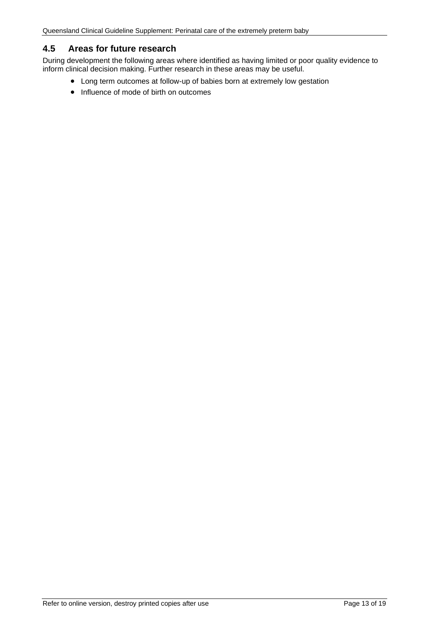### <span id="page-12-0"></span>**4.5 Areas for future research**

During development the following areas where identified as having limited or poor quality evidence to inform clinical decision making. Further research in these areas may be useful.

- Long term outcomes at follow-up of babies born at extremely low gestation
- Influence of mode of birth on outcomes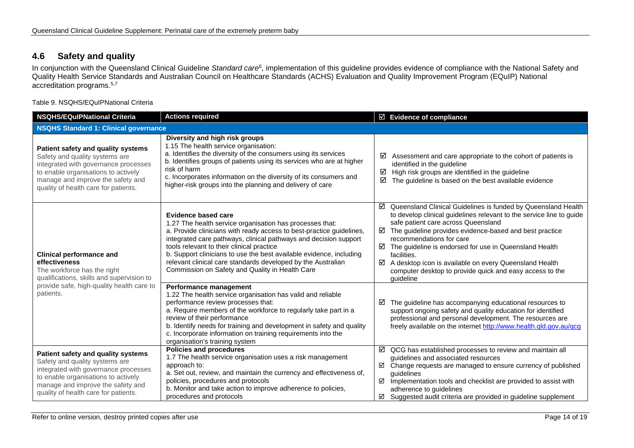## **4.6 Safety and quality**

In conjunction with the Queensland Clinical Guideline *Standard care*6, implementation of this guideline provides evidence of compliance with the National Safety and Quality Health Service Standards and Australian Council on Healthcare Standards (ACHS) Evaluation and Quality Improvement Program (EQuIP) National accreditation programs.5,7

Table 9. NSQHS/EQuIPNational Criteria

<span id="page-13-1"></span><span id="page-13-0"></span>

| <b>NSQHS/EQuIPNational Criteria</b>                                                                                                                                                                                              | <b>Actions required</b>                                                                                                                                                                                                                                                                                                                                                                                                                                            | ☑ Evidence of compliance                                                                                                                                                                                                                                                                                                                                                                                                                                                                    |  |
|----------------------------------------------------------------------------------------------------------------------------------------------------------------------------------------------------------------------------------|--------------------------------------------------------------------------------------------------------------------------------------------------------------------------------------------------------------------------------------------------------------------------------------------------------------------------------------------------------------------------------------------------------------------------------------------------------------------|---------------------------------------------------------------------------------------------------------------------------------------------------------------------------------------------------------------------------------------------------------------------------------------------------------------------------------------------------------------------------------------------------------------------------------------------------------------------------------------------|--|
| <b>NSQHS Standard 1: Clinical governance</b>                                                                                                                                                                                     |                                                                                                                                                                                                                                                                                                                                                                                                                                                                    |                                                                                                                                                                                                                                                                                                                                                                                                                                                                                             |  |
| Patient safety and quality systems<br>Safety and quality systems are<br>integrated with governance processes<br>to enable organisations to actively<br>manage and improve the safety and<br>quality of health care for patients. | Diversity and high risk groups<br>1.15 The health service organisation:<br>a. Identifies the diversity of the consumers using its services<br>b. Identifies groups of patients using its services who are at higher<br>risk of harm<br>c. Incorporates information on the diversity of its consumers and<br>higher-risk groups into the planning and delivery of care                                                                                              | Assessment and care appropriate to the cohort of patients is<br>☑<br>identified in the guideline<br>High risk groups are identified in the guideline<br>☑<br>☑<br>The guideline is based on the best available evidence                                                                                                                                                                                                                                                                     |  |
| <b>Clinical performance and</b><br>effectiveness<br>The workforce has the right<br>qualifications, skills and supervision to<br>provide safe, high-quality health care to<br>patients.                                           | Evidence based care<br>1.27 The health service organisation has processes that:<br>a. Provide clinicians with ready access to best-practice guidelines,<br>integrated care pathways, clinical pathways and decision support<br>tools relevant to their clinical practice<br>b. Support clinicians to use the best available evidence, including<br>relevant clinical care standards developed by the Australian<br>Commission on Safety and Quality in Health Care | ☑ Queensland Clinical Guidelines is funded by Queensland Health<br>to develop clinical guidelines relevant to the service line to guide<br>safe patient care across Queensland<br>The guideline provides evidence-based and best practice<br>recommendations for care<br>☑<br>The guideline is endorsed for use in Queensland Health<br>facilities.<br>☑<br>A desktop icon is available on every Queensland Health<br>computer desktop to provide quick and easy access to the<br>quideline |  |
|                                                                                                                                                                                                                                  | Performance management<br>1.22 The health service organisation has valid and reliable<br>performance review processes that:<br>a. Require members of the workforce to regularly take part in a<br>review of their performance<br>b. Identify needs for training and development in safety and quality<br>c. Incorporate information on training requirements into the<br>organisation's training system                                                            | The guideline has accompanying educational resources to<br>☑<br>support ongoing safety and quality education for identified<br>professional and personal development. The resources are<br>freely available on the internet http://www.health.qld.gov.au/qcg                                                                                                                                                                                                                                |  |
| Patient safety and quality systems<br>Safety and quality systems are<br>integrated with governance processes<br>to enable organisations to actively<br>manage and improve the safety and<br>quality of health care for patients. | <b>Policies and procedures</b><br>1.7 The health service organisation uses a risk management<br>approach to:<br>a. Set out, review, and maintain the currency and effectiveness of,<br>policies, procedures and protocols<br>b. Monitor and take action to improve adherence to policies,<br>procedures and protocols                                                                                                                                              | ☑ QCG has established processes to review and maintain all<br>guidelines and associated resources<br>☑ Change requests are managed to ensure currency of published<br>quidelines<br>$\boxtimes$ Implementation tools and checklist are provided to assist with<br>adherence to guidelines<br>$\boxtimes$ Suggested audit criteria are provided in guideline supplement                                                                                                                      |  |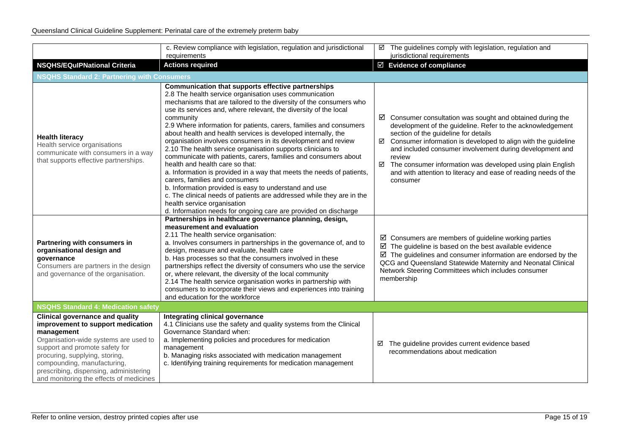|                                                                                                                                                                                                                                                                                                                            | c. Review compliance with legislation, regulation and jurisdictional<br>requirements                                                                                                                                                                                                                                                                                                                                                                                                                                                                                                                                                                                                                                                                                                                                                                                                                                                                                                            | ☑ The guidelines comply with legislation, regulation and<br>jurisdictional requirements                                                                                                                                                                                                                                                                                                                                                                                      |
|----------------------------------------------------------------------------------------------------------------------------------------------------------------------------------------------------------------------------------------------------------------------------------------------------------------------------|-------------------------------------------------------------------------------------------------------------------------------------------------------------------------------------------------------------------------------------------------------------------------------------------------------------------------------------------------------------------------------------------------------------------------------------------------------------------------------------------------------------------------------------------------------------------------------------------------------------------------------------------------------------------------------------------------------------------------------------------------------------------------------------------------------------------------------------------------------------------------------------------------------------------------------------------------------------------------------------------------|------------------------------------------------------------------------------------------------------------------------------------------------------------------------------------------------------------------------------------------------------------------------------------------------------------------------------------------------------------------------------------------------------------------------------------------------------------------------------|
| <b>NSQHS/EQuIPNational Criteria</b>                                                                                                                                                                                                                                                                                        | <b>Actions required</b>                                                                                                                                                                                                                                                                                                                                                                                                                                                                                                                                                                                                                                                                                                                                                                                                                                                                                                                                                                         | $\boxtimes$ Evidence of compliance                                                                                                                                                                                                                                                                                                                                                                                                                                           |
| <b>NSQHS Standard 2: Partnering with Consumers</b>                                                                                                                                                                                                                                                                         |                                                                                                                                                                                                                                                                                                                                                                                                                                                                                                                                                                                                                                                                                                                                                                                                                                                                                                                                                                                                 |                                                                                                                                                                                                                                                                                                                                                                                                                                                                              |
| <b>Health literacy</b><br>Health service organisations<br>communicate with consumers in a way<br>that supports effective partnerships.                                                                                                                                                                                     | Communication that supports effective partnerships<br>2.8 The health service organisation uses communication<br>mechanisms that are tailored to the diversity of the consumers who<br>use its services and, where relevant, the diversity of the local<br>community<br>2.9 Where information for patients, carers, families and consumers<br>about health and health services is developed internally, the<br>organisation involves consumers in its development and review<br>2.10 The health service organisation supports clinicians to<br>communicate with patients, carers, families and consumers about<br>health and health care so that:<br>a. Information is provided in a way that meets the needs of patients,<br>carers, families and consumers<br>b. Information provided is easy to understand and use<br>c. The clinical needs of patients are addressed while they are in the<br>health service organisation<br>d. Information needs for ongoing care are provided on discharge | $\boxtimes$ Consumer consultation was sought and obtained during the<br>development of the guideline. Refer to the acknowledgement<br>section of the guideline for details<br>$\boxtimes$ Consumer information is developed to align with the guideline<br>and included consumer involvement during development and<br>review<br>□ The consumer information was developed using plain English<br>and with attention to literacy and ease of reading needs of the<br>consumer |
| Partnering with consumers in<br>organisational design and<br>governance<br>Consumers are partners in the design<br>and governance of the organisation.                                                                                                                                                                     | Partnerships in healthcare governance planning, design,<br>measurement and evaluation<br>2.11 The health service organisation:<br>a. Involves consumers in partnerships in the governance of, and to<br>design, measure and evaluate, health care<br>b. Has processes so that the consumers involved in these<br>partnerships reflect the diversity of consumers who use the service<br>or, where relevant, the diversity of the local community<br>2.14 The health service organisation works in partnership with<br>consumers to incorporate their views and experiences into training<br>and education for the workforce                                                                                                                                                                                                                                                                                                                                                                     | $\boxtimes$ Consumers are members of guideline working parties<br>$\boxtimes$ The guideline is based on the best available evidence<br>$\boxtimes$ The guidelines and consumer information are endorsed by the<br>QCG and Queensland Statewide Maternity and Neonatal Clinical<br>Network Steering Committees which includes consumer<br>membership                                                                                                                          |
| <b>NSQHS Standard 4: Medication safety</b>                                                                                                                                                                                                                                                                                 |                                                                                                                                                                                                                                                                                                                                                                                                                                                                                                                                                                                                                                                                                                                                                                                                                                                                                                                                                                                                 |                                                                                                                                                                                                                                                                                                                                                                                                                                                                              |
| <b>Clinical governance and quality</b><br>improvement to support medication<br>management<br>Organisation-wide systems are used to<br>support and promote safety for<br>procuring, supplying, storing,<br>compounding, manufacturing,<br>prescribing, dispensing, administering<br>and monitoring the effects of medicines | Integrating clinical governance<br>4.1 Clinicians use the safety and quality systems from the Clinical<br>Governance Standard when:<br>a. Implementing policies and procedures for medication<br>management<br>b. Managing risks associated with medication management<br>c. Identifying training requirements for medication management                                                                                                                                                                                                                                                                                                                                                                                                                                                                                                                                                                                                                                                        | The guideline provides current evidence based<br>☑<br>recommendations about medication                                                                                                                                                                                                                                                                                                                                                                                       |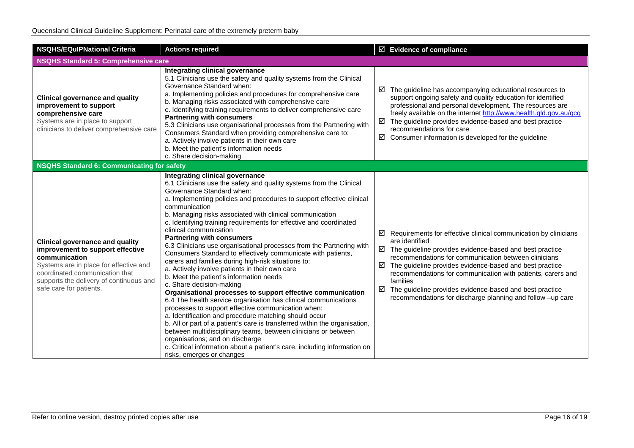| <b>NSQHS/EQuIPNational Criteria</b>                                                                                                                                                                                                           | <b>Actions required</b>                                                                                                                                                                                                                                                                                                                                                                                                                                                                                                                                                                                                                                                                                                                                                                                                                                                                                                                                                                                                                                                                                                                                                                                                                                                                            | $\boxtimes$ Evidence of compliance                                                                                                                                                                                                                                                                                                                                                                                                                                                                    |  |
|-----------------------------------------------------------------------------------------------------------------------------------------------------------------------------------------------------------------------------------------------|----------------------------------------------------------------------------------------------------------------------------------------------------------------------------------------------------------------------------------------------------------------------------------------------------------------------------------------------------------------------------------------------------------------------------------------------------------------------------------------------------------------------------------------------------------------------------------------------------------------------------------------------------------------------------------------------------------------------------------------------------------------------------------------------------------------------------------------------------------------------------------------------------------------------------------------------------------------------------------------------------------------------------------------------------------------------------------------------------------------------------------------------------------------------------------------------------------------------------------------------------------------------------------------------------|-------------------------------------------------------------------------------------------------------------------------------------------------------------------------------------------------------------------------------------------------------------------------------------------------------------------------------------------------------------------------------------------------------------------------------------------------------------------------------------------------------|--|
| <b>NSQHS Standard 5: Comprehensive care</b>                                                                                                                                                                                                   |                                                                                                                                                                                                                                                                                                                                                                                                                                                                                                                                                                                                                                                                                                                                                                                                                                                                                                                                                                                                                                                                                                                                                                                                                                                                                                    |                                                                                                                                                                                                                                                                                                                                                                                                                                                                                                       |  |
| <b>Clinical governance and quality</b><br>improvement to support<br>comprehensive care<br>Systems are in place to support<br>clinicians to deliver comprehensive care                                                                         | Integrating clinical governance<br>5.1 Clinicians use the safety and quality systems from the Clinical<br>Governance Standard when:<br>a. Implementing policies and procedures for comprehensive care<br>b. Managing risks associated with comprehensive care<br>c. Identifying training requirements to deliver comprehensive care<br><b>Partnering with consumers</b><br>5.3 Clinicians use organisational processes from the Partnering with<br>Consumers Standard when providing comprehensive care to:<br>a. Actively involve patients in their own care<br>b. Meet the patient's information needs<br>c. Share decision-making                                                                                                                                                                                                                                                                                                                                                                                                                                                                                                                                                                                                                                                               | The guideline has accompanying educational resources to<br>☑<br>support ongoing safety and quality education for identified<br>professional and personal development. The resources are<br>freely available on the internet http://www.health.qld.gov.au/qcg<br>$\boxtimes$ The guideline provides evidence-based and best practice<br>recommendations for care<br>☑<br>Consumer information is developed for the guideline                                                                           |  |
| <b>NSQHS Standard 6: Communicating for safety</b>                                                                                                                                                                                             |                                                                                                                                                                                                                                                                                                                                                                                                                                                                                                                                                                                                                                                                                                                                                                                                                                                                                                                                                                                                                                                                                                                                                                                                                                                                                                    |                                                                                                                                                                                                                                                                                                                                                                                                                                                                                                       |  |
| <b>Clinical governance and quality</b><br>improvement to support effective<br>communication<br>Systems are in place for effective and<br>coordinated communication that<br>supports the delivery of continuous and<br>safe care for patients. | Integrating clinical governance<br>6.1 Clinicians use the safety and quality systems from the Clinical<br>Governance Standard when:<br>a. Implementing policies and procedures to support effective clinical<br>communication<br>b. Managing risks associated with clinical communication<br>c. Identifying training requirements for effective and coordinated<br>clinical communication<br><b>Partnering with consumers</b><br>6.3 Clinicians use organisational processes from the Partnering with<br>Consumers Standard to effectively communicate with patients,<br>carers and families during high-risk situations to:<br>a. Actively involve patients in their own care<br>b. Meet the patient's information needs<br>c. Share decision-making<br>Organisational processes to support effective communication<br>6.4 The health service organisation has clinical communications<br>processes to support effective communication when:<br>a. Identification and procedure matching should occur<br>b. All or part of a patient's care is transferred within the organisation,<br>between multidisciplinary teams, between clinicians or between<br>organisations; and on discharge<br>c. Critical information about a patient's care, including information on<br>risks, emerges or changes | $\boxtimes$ Requirements for effective clinical communication by clinicians<br>are identified<br>$\boxtimes$ The guideline provides evidence-based and best practice<br>recommendations for communication between clinicians<br>☑<br>The guideline provides evidence-based and best practice<br>recommendations for communication with patients, carers and<br>families<br>The guideline provides evidence-based and best practice<br>☑<br>recommendations for discharge planning and follow -up care |  |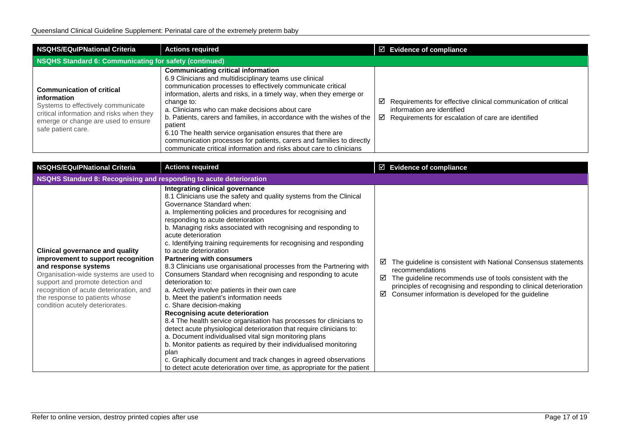| NSQHS/EQuIPNational Criteria                                                                                                                                                                   | <b>Actions required</b>                                                                                                                                                                                                                                                                                                                                                                                                                                                                                                                                                                                         | $\boxtimes$ Evidence of compliance                                                                                                                                 |  |
|------------------------------------------------------------------------------------------------------------------------------------------------------------------------------------------------|-----------------------------------------------------------------------------------------------------------------------------------------------------------------------------------------------------------------------------------------------------------------------------------------------------------------------------------------------------------------------------------------------------------------------------------------------------------------------------------------------------------------------------------------------------------------------------------------------------------------|--------------------------------------------------------------------------------------------------------------------------------------------------------------------|--|
| NSQHS Standard 6: Communicating for safety (continued)                                                                                                                                         |                                                                                                                                                                                                                                                                                                                                                                                                                                                                                                                                                                                                                 |                                                                                                                                                                    |  |
| <b>Communication of critical</b><br>information<br>Systems to effectively communicate<br>critical information and risks when they<br>emerge or change are used to ensure<br>safe patient care. | <b>Communicating critical information</b><br>6.9 Clinicians and multidisciplinary teams use clinical<br>communication processes to effectively communicate critical<br>information, alerts and risks, in a timely way, when they emerge or<br>change to:<br>a. Clinicians who can make decisions about care<br>b. Patients, carers and families, in accordance with the wishes of the<br>patient<br>6.10 The health service organisation ensures that there are<br>communication processes for patients, carers and families to directly<br>communicate critical information and risks about care to clinicians | Requirements for effective clinical communication of critical<br>☑<br>information are identified<br>$\boxtimes$ Requirements for escalation of care are identified |  |

| <b>NSQHS/EQuIPNational Criteria</b>                                                                                                                                                                                                                                                                | <b>Actions required</b>                                                                                                                                                                                                                                                                                                                                                                                                                                                                                                                                                                                                                                                                                                                                                                                                                                                                                                                                                                                                                                                                                                                                                                                                              | $\boxtimes$ Evidence of compliance                                                                                                                                                                                                                                                         |
|----------------------------------------------------------------------------------------------------------------------------------------------------------------------------------------------------------------------------------------------------------------------------------------------------|--------------------------------------------------------------------------------------------------------------------------------------------------------------------------------------------------------------------------------------------------------------------------------------------------------------------------------------------------------------------------------------------------------------------------------------------------------------------------------------------------------------------------------------------------------------------------------------------------------------------------------------------------------------------------------------------------------------------------------------------------------------------------------------------------------------------------------------------------------------------------------------------------------------------------------------------------------------------------------------------------------------------------------------------------------------------------------------------------------------------------------------------------------------------------------------------------------------------------------------|--------------------------------------------------------------------------------------------------------------------------------------------------------------------------------------------------------------------------------------------------------------------------------------------|
| NSQHS Standard 8: Recognising and responding to acute deterioration                                                                                                                                                                                                                                |                                                                                                                                                                                                                                                                                                                                                                                                                                                                                                                                                                                                                                                                                                                                                                                                                                                                                                                                                                                                                                                                                                                                                                                                                                      |                                                                                                                                                                                                                                                                                            |
| <b>Clinical governance and quality</b><br>improvement to support recognition<br>and response systems<br>Organisation-wide systems are used to<br>support and promote detection and<br>recognition of acute deterioration, and<br>the response to patients whose<br>condition acutely deteriorates. | Integrating clinical governance<br>8.1 Clinicians use the safety and quality systems from the Clinical<br>Governance Standard when:<br>a. Implementing policies and procedures for recognising and<br>responding to acute deterioration<br>b. Managing risks associated with recognising and responding to<br>acute deterioration<br>c. Identifying training requirements for recognising and responding<br>to acute deterioration<br><b>Partnering with consumers</b><br>8.3 Clinicians use organisational processes from the Partnering with<br>Consumers Standard when recognising and responding to acute<br>deterioration to:<br>a. Actively involve patients in their own care<br>b. Meet the patient's information needs<br>c. Share decision-making<br>Recognising acute deterioration<br>8.4 The health service organisation has processes for clinicians to<br>detect acute physiological deterioration that require clinicians to:<br>a. Document individualised vital sign monitoring plans<br>b. Monitor patients as required by their individualised monitoring<br>plan<br>c. Graphically document and track changes in agreed observations<br>to detect acute deterioration over time, as appropriate for the patient | The guideline is consistent with National Consensus statements<br>⊻<br>recommendations<br>The guideline recommends use of tools consistent with the<br>☑<br>principles of recognising and responding to clinical deterioration<br>Consumer information is developed for the guideline<br>☑ |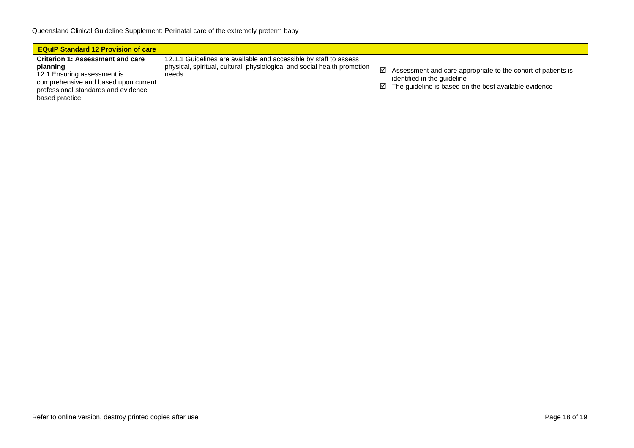| <b>EQuIP Standard 12 Provision of care</b>                                                                                                                                          |                                                                                                                                                        |                                                                                                                                                                |
|-------------------------------------------------------------------------------------------------------------------------------------------------------------------------------------|--------------------------------------------------------------------------------------------------------------------------------------------------------|----------------------------------------------------------------------------------------------------------------------------------------------------------------|
| <b>Criterion 1: Assessment and care</b><br>planning<br>12.1 Ensuring assessment is<br>comprehensive and based upon current<br>professional standards and evidence<br>based practice | 12.1.1 Guidelines are available and accessible by staff to assess<br>physical, spiritual, cultural, physiological and social health promotion<br>needs | ☑<br>Assessment and care appropriate to the cohort of patients is<br>identified in the quideline<br>The guideline is based on the best available evidence<br>⊻ |